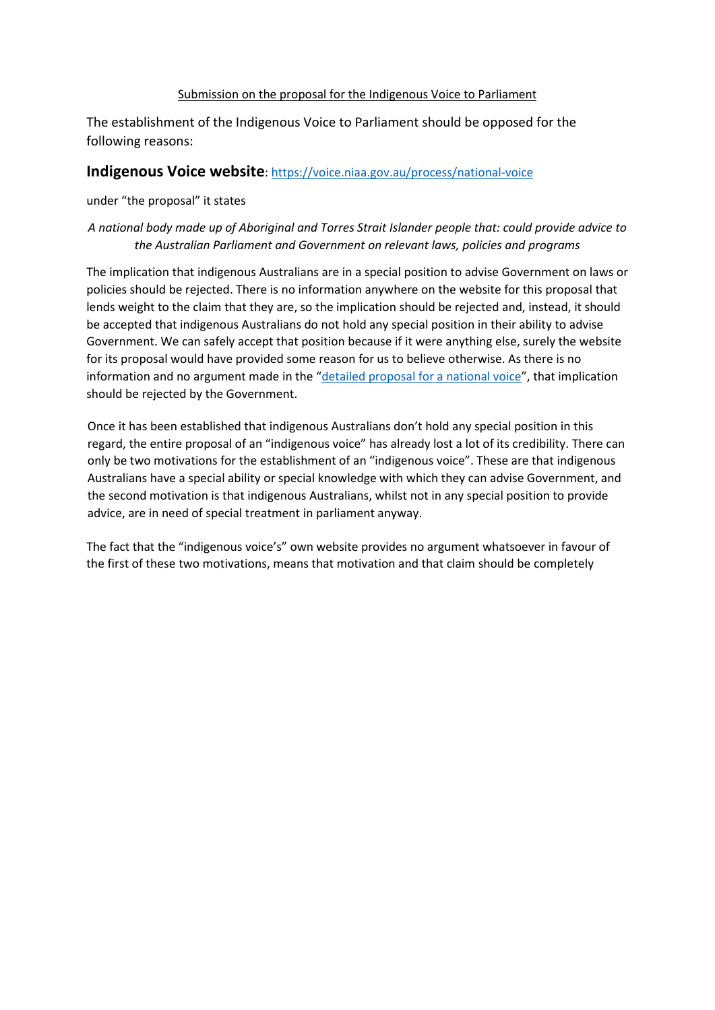#### Submission on the proposal for the Indigenous Voice to Parliament

The establishment of the Indigenous Voice to Parliament should be opposed for the following reasons:

### **Indigenous Voice website**:<https://voice.niaa.gov.au/process/national-voice>

under "the proposal" it states

### *A national body made up of Aboriginal and Torres Strait Islander people that: could provide advice to the Australian Parliament and Government on relevant laws, policies and programs*

The implication that indigenous Australians are in a special position to advise Government on laws or policies should be rejected. There is no information anywhere on the website for this proposal that lends weight to the claim that they are, so the implication should be rejected and, instead, it should be accepted that indigenous Australians do not hold any special position in their ability to advise Government. We can safely accept that position because if it were anything else, surely the website for its proposal would have provided some reason for us to believe otherwise. As there is no information and no argument made in the ["detailed proposal for a national voice"](https://voice.niaa.gov.au/sites/default/files/2021-01/detailed-national-voice-proposal.pdf), that implication should be rejected by the Government.

Once it has been established that indigenous Australians don't hold any special position in this regard, the entire proposal of an "indigenous voice" has already lost a lot of its credibility. There can only be two motivations for the establishment of an "indigenous voice". These are that indigenous Australians have a special ability or special knowledge with which they can advise Government, and the second motivation is that indigenous Australians, whilst not in any special position to provide advice, are in need of special treatment in parliament anyway.

The fact that the "indigenous voice's" own website provides no argument whatsoever in favour of the first of these two motivations, means that motivation and that claim should be completely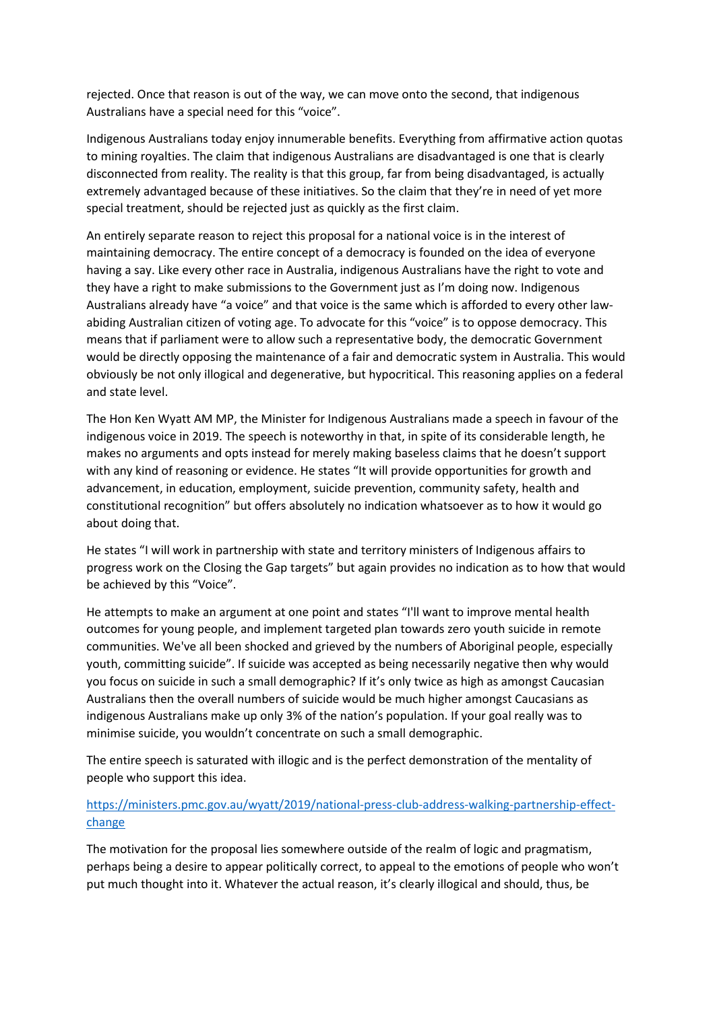rejected. Once that reason is out of the way, we can move onto the second, that indigenous Australians have a special need for this "voice".

Indigenous Australians today enjoy innumerable benefits. Everything from affirmative action quotas to mining royalties. The claim that indigenous Australians are disadvantaged is one that is clearly disconnected from reality. The reality is that this group, far from being disadvantaged, is actually extremely advantaged because of these initiatives. So the claim that they're in need of yet more special treatment, should be rejected just as quickly as the first claim.

An entirely separate reason to reject this proposal for a national voice is in the interest of maintaining democracy. The entire concept of a democracy is founded on the idea of everyone having a say. Like every other race in Australia, indigenous Australians have the right to vote and they have a right to make submissions to the Government just as I'm doing now. Indigenous Australians already have "a voice" and that voice is the same which is afforded to every other lawabiding Australian citizen of voting age. To advocate for this "voice" is to oppose democracy. This means that if parliament were to allow such a representative body, the democratic Government would be directly opposing the maintenance of a fair and democratic system in Australia. This would obviously be not only illogical and degenerative, but hypocritical. This reasoning applies on a federal and state level.

The Hon Ken Wyatt AM MP, the Minister for Indigenous Australians made a speech in favour of the indigenous voice in 2019. The speech is noteworthy in that, in spite of its considerable length, he makes no arguments and opts instead for merely making baseless claims that he doesn't support with any kind of reasoning or evidence. He states "It will provide opportunities for growth and advancement, in education, employment, suicide prevention, community safety, health and constitutional recognition" but offers absolutely no indication whatsoever as to how it would go about doing that.

He states "I will work in partnership with state and territory ministers of Indigenous affairs to progress work on the Closing the Gap targets" but again provides no indication as to how that would be achieved by this "Voice".

He attempts to make an argument at one point and states "I'll want to improve mental health outcomes for young people, and implement targeted plan towards zero youth suicide in remote communities. We've all been shocked and grieved by the numbers of Aboriginal people, especially youth, committing suicide". If suicide was accepted as being necessarily negative then why would you focus on suicide in such a small demographic? If it's only twice as high as amongst Caucasian Australians then the overall numbers of suicide would be much higher amongst Caucasians as indigenous Australians make up only 3% of the nation's population. If your goal really was to minimise suicide, you wouldn't concentrate on such a small demographic.

The entire speech is saturated with illogic and is the perfect demonstration of the mentality of people who support this idea.

#### [https://ministers.pmc.gov.au/wyatt/2019/national-press-club-address-walking-partnership-effect](https://ministers.pmc.gov.au/wyatt/2019/national-press-club-address-walking-partnership-effect-change)[change](https://ministers.pmc.gov.au/wyatt/2019/national-press-club-address-walking-partnership-effect-change)

The motivation for the proposal lies somewhere outside of the realm of logic and pragmatism, perhaps being a desire to appear politically correct, to appeal to the emotions of people who won't put much thought into it. Whatever the actual reason, it's clearly illogical and should, thus, be